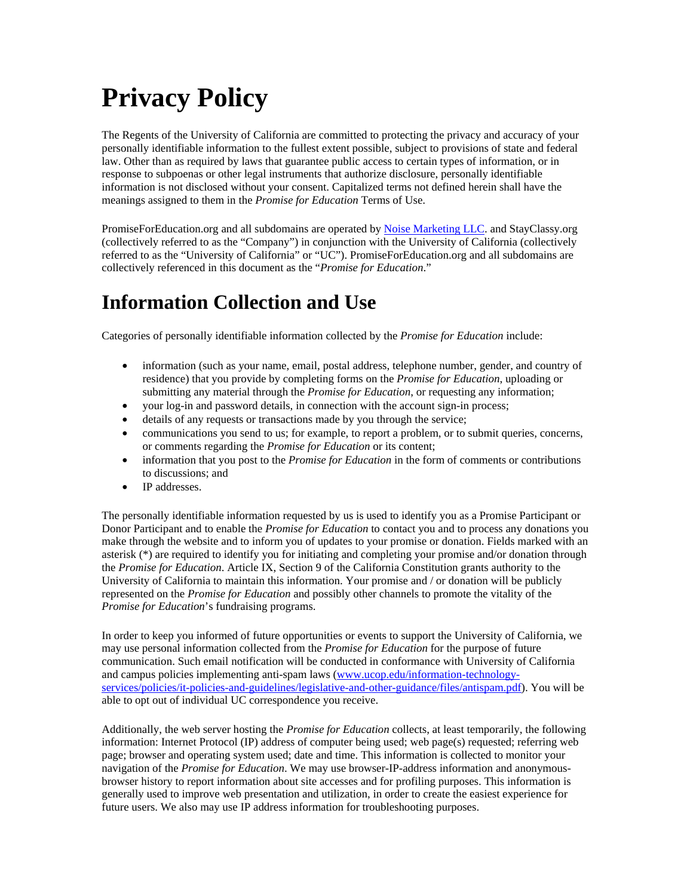# **Privacy Policy**

The Regents of the University of California are committed to protecting the privacy and accuracy of your personally identifiable information to the fullest extent possible, subject to provisions of state and federal law. Other than as required by laws that guarantee public access to certain types of information, or in response to subpoenas or other legal instruments that authorize disclosure, personally identifiable information is not disclosed without your consent. Capitalized terms not defined herein shall have the meanings assigned to them in the *Promise for Education* Terms of Use.

PromiseForEducation.org and all subdomains are operated by Noise Marketing LLC. and StayClassy.org (collectively referred to as the "Company") in conjunction with the University of California (collectively referred to as the "University of California" or "UC"). PromiseForEducation.org and all subdomains are collectively referenced in this document as the "*Promise for Education*."

### **Information Collection and Use**

Categories of personally identifiable information collected by the *Promise for Education* include:

- information (such as your name, email, postal address, telephone number, gender, and country of residence) that you provide by completing forms on the *Promise for Education*, uploading or submitting any material through the *Promise for Education*, or requesting any information;
- your log-in and password details, in connection with the account sign-in process;
- details of any requests or transactions made by you through the service;
- communications you send to us; for example, to report a problem, or to submit queries, concerns, or comments regarding the *Promise for Education* or its content;
- information that you post to the *Promise for Education* in the form of comments or contributions to discussions; and
- IP addresses.

The personally identifiable information requested by us is used to identify you as a Promise Participant or Donor Participant and to enable the *Promise for Education* to contact you and to process any donations you make through the website and to inform you of updates to your promise or donation. Fields marked with an asterisk (\*) are required to identify you for initiating and completing your promise and/or donation through the *Promise for Education*. Article IX, Section 9 of the California Constitution grants authority to the University of California to maintain this information. Your promise and / or donation will be publicly represented on the *Promise for Education* and possibly other channels to promote the vitality of the *Promise for Education*'s fundraising programs.

In order to keep you informed of future opportunities or events to support the University of California, we may use personal information collected from the *Promise for Education* for the purpose of future communication. Such email notification will be conducted in conformance with University of California and campus policies implementing anti-spam laws (www.ucop.edu/information-technologyservices/policies/it-policies-and-guidelines/legislative-and-other-guidance/files/antispam.pdf). You will be able to opt out of individual UC correspondence you receive.

Additionally, the web server hosting the *Promise for Education* collects, at least temporarily, the following information: Internet Protocol (IP) address of computer being used; web page(s) requested; referring web page; browser and operating system used; date and time. This information is collected to monitor your navigation of the *Promise for Education*. We may use browser-IP-address information and anonymousbrowser history to report information about site accesses and for profiling purposes. This information is generally used to improve web presentation and utilization, in order to create the easiest experience for future users. We also may use IP address information for troubleshooting purposes.